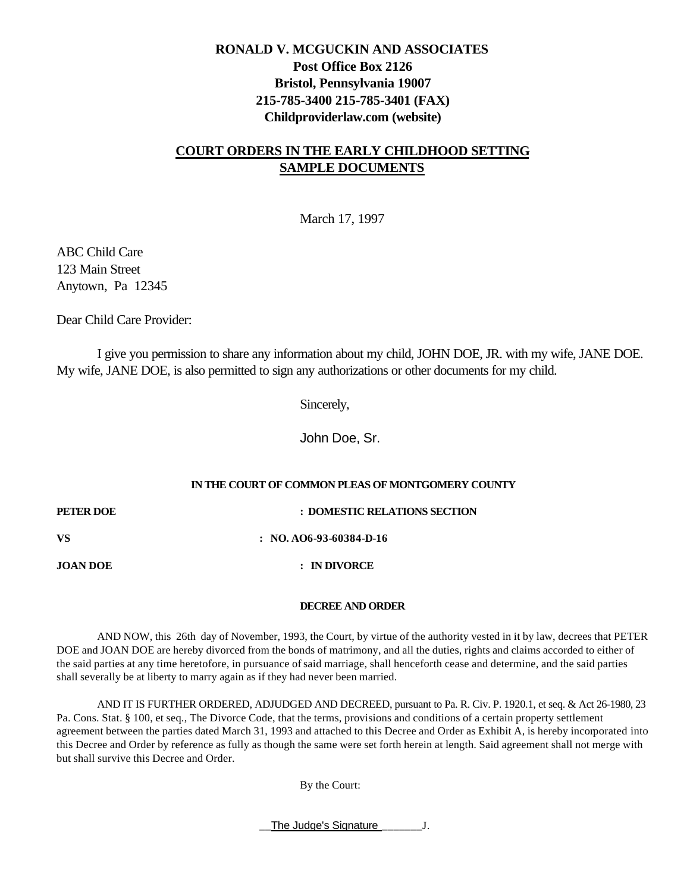# **RONALD V. MCGUCKIN AND ASSOCIATES Post Office Box 2126 Bristol, Pennsylvania 19007 215-785-3400 215-785-3401 (FAX) Childproviderlaw.com (website)**

# **COURT ORDERS IN THE EARLY CHILDHOOD SETTING SAMPLE DOCUMENTS**

March 17, 1997

ABC Child Care 123 Main Street Anytown, Pa 12345

Dear Child Care Provider:

I give you permission to share any information about my child, JOHN DOE, JR. with my wife, JANE DOE. My wife, JANE DOE, is also permitted to sign any authorizations or other documents for my child.

Sincerely,

John Doe, Sr.

## **IN THE COURT OF COMMON PLEAS OF MONTGOMERY COUNTY**

**PETER DOE : DOMESTIC RELATIONS SECTION VS : NO. AO6-93-60384-D-16 JOAN DOE : IN DIVORCE**

#### **DECREE AND ORDER**

AND NOW, this 26th day of November, 1993, the Court, by virtue of the authority vested in it by law, decrees that PETER DOE and JOAN DOE are hereby divorced from the bonds of matrimony, and all the duties, rights and claims accorded to either of the said parties at any time heretofore, in pursuance of said marriage, shall henceforth cease and determine, and the said parties shall severally be at liberty to marry again as if they had never been married.

AND IT IS FURTHER ORDERED, ADJUDGED AND DECREED, pursuant to Pa. R. Civ. P. 1920.1, et seq. & Act 26-1980, 23 Pa. Cons. Stat. § 100, et seq., The Divorce Code, that the terms, provisions and conditions of a certain property settlement agreement between the parties dated March 31, 1993 and attached to this Decree and Order as Exhibit A, is hereby incorporated into this Decree and Order by reference as fully as though the same were set forth herein at length. Said agreement shall not merge with but shall survive this Decree and Order.

By the Court:

The Judge's Signature **J**.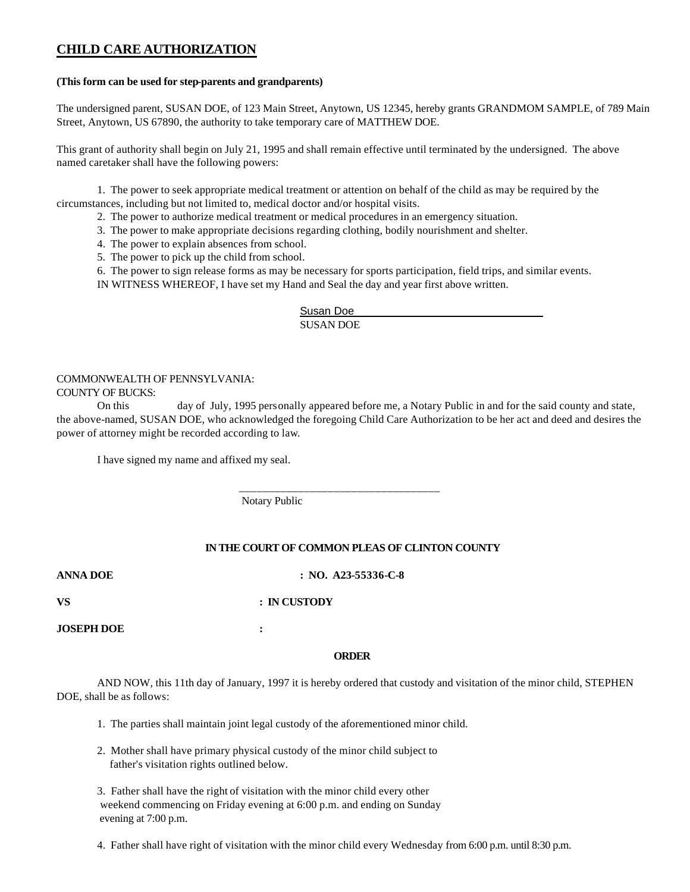# **CHILD CARE AUTHORIZATION**

#### **(This form can be used for step-parents and grandparents)**

The undersigned parent, SUSAN DOE, of 123 Main Street, Anytown, US 12345, hereby grants GRANDMOM SAMPLE, of 789 Main Street, Anytown, US 67890, the authority to take temporary care of MATTHEW DOE.

This grant of authority shall begin on July 21, 1995 and shall remain effective until terminated by the undersigned. The above named caretaker shall have the following powers:

1. The power to seek appropriate medical treatment or attention on behalf of the child as may be required by the circumstances, including but not limited to, medical doctor and/or hospital visits.

- 2. The power to authorize medical treatment or medical procedures in an emergency situation.
- 3. The power to make appropriate decisions regarding clothing, bodily nourishment and shelter.
- 4. The power to explain absences from school.
- 5. The power to pick up the child from school.
- 6. The power to sign release forms as may be necessary for sports participation, field trips, and similar events.

IN WITNESS WHEREOF, I have set my Hand and Seal the day and year first above written.

Susan Doe SUSAN DOE

## COMMONWEALTH OF PENNSYLVANIA:

#### COUNTY OF BUCKS:

On this day of July, 1995 personally appeared before me, a Notary Public in and for the said county and state, the above-named, SUSAN DOE, who acknowledged the foregoing Child Care Authorization to be her act and deed and desires the power of attorney might be recorded according to law.

I have signed my name and affixed my seal.

Notary Public

\_\_\_\_\_\_\_\_\_\_\_\_\_\_\_\_\_\_\_\_\_\_\_\_\_\_\_\_\_\_\_\_\_\_

#### **IN THE COURT OF COMMON PLEAS OF CLINTON COUNTY**

#### **ANNA DOE : NO. A23-55336-C-8**

#### **VS : IN CUSTODY**

**JOSEPH DOE :**

#### **ORDER**

AND NOW, this 11th day of January, 1997 it is hereby ordered that custody and visitation of the minor child, STEPHEN DOE, shall be as follows:

- 1. The parties shall maintain joint legal custody of the aforementioned minor child.
- 2. Mother shall have primary physical custody of the minor child subject to father's visitation rights outlined below.

3. Father shall have the right of visitation with the minor child every other weekend commencing on Friday evening at 6:00 p.m. and ending on Sunday evening at 7:00 p.m.

4. Father shall have right of visitation with the minor child every Wednesday from 6:00 p.m. until 8:30 p.m.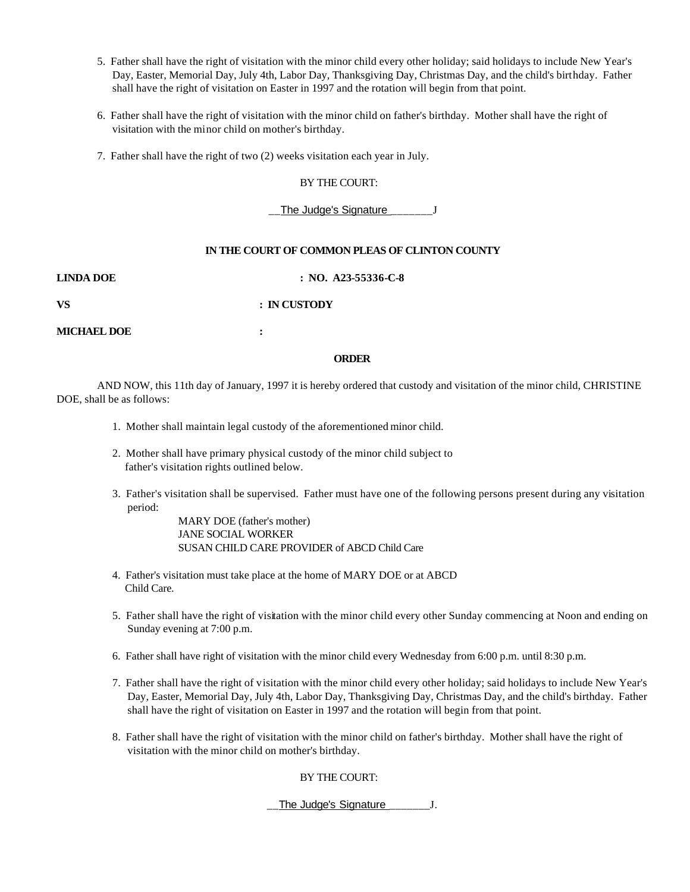- 5. Father shall have the right of visitation with the minor child every other holiday; said holidays to include New Year's Day, Easter, Memorial Day, July 4th, Labor Day, Thanksgiving Day, Christmas Day, and the child's birthday. Father shall have the right of visitation on Easter in 1997 and the rotation will begin from that point.
- 6. Father shall have the right of visitation with the minor child on father's birthday. Mother shall have the right of visitation with the minor child on mother's birthday.
- 7. Father shall have the right of two (2) weeks visitation each year in July.

#### BY THE COURT:

The Judge's Signature \_\_\_\_\_\_\_J

#### **IN THE COURT OF COMMON PLEAS OF CLINTON COUNTY**

**LINDA DOE : NO. A23-55336-C-8**

**VS : IN CUSTODY**

**MICHAEL DOE :**

#### **ORDER**

AND NOW, this 11th day of January, 1997 it is hereby ordered that custody and visitation of the minor child, CHRISTINE DOE, shall be as follows:

- 1. Mother shall maintain legal custody of the aforementioned minor child.
- 2. Mother shall have primary physical custody of the minor child subject to father's visitation rights outlined below.
- 3. Father's visitation shall be supervised. Father must have one of the following persons present during any visitation period:

MARY DOE (father's mother) JANE SOCIAL WORKER SUSAN CHILD CARE PROVIDER of ABCD Child Care

- 4. Father's visitation must take place at the home of MARY DOE or at ABCD Child Care.
- 5. Father shall have the right of visitation with the minor child every other Sunday commencing at Noon and ending on Sunday evening at 7:00 p.m.
- 6. Father shall have right of visitation with the minor child every Wednesday from 6:00 p.m. until 8:30 p.m.
- 7. Father shall have the right of visitation with the minor child every other holiday; said holidays to include New Year's Day, Easter, Memorial Day, July 4th, Labor Day, Thanksgiving Day, Christmas Day, and the child's birthday. Father shall have the right of visitation on Easter in 1997 and the rotation will begin from that point.
- 8. Father shall have the right of visitation with the minor child on father's birthday. Mother shall have the right of visitation with the minor child on mother's birthday.

#### BY THE COURT:

#### The Judge's Signature \_\_\_\_\_\_\_\_\_\_\_J.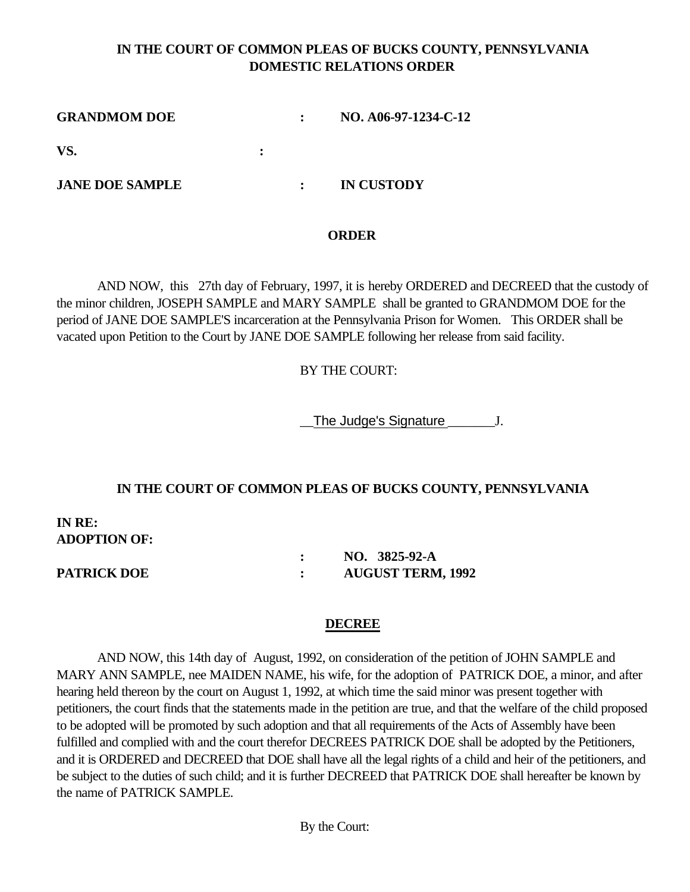# **IN THE COURT OF COMMON PLEAS OF BUCKS COUNTY, PENNSYLVANIA DOMESTIC RELATIONS ORDER**

**GRANDMOM DOE : NO. A06-97-1234-C-12 VS. : JANE DOE SAMPLE : IN CUSTODY**

## **ORDER**

AND NOW, this 27th day of February, 1997, it is hereby ORDERED and DECREED that the custody of the minor children, JOSEPH SAMPLE and MARY SAMPLE shall be granted to GRANDMOM DOE for the period of JANE DOE SAMPLE'S incarceration at the Pennsylvania Prison for Women. This ORDER shall be vacated upon Petition to the Court by JANE DOE SAMPLE following her release from said facility.

## BY THE COURT:

The Judge's Signature  $J.$ 

## **IN THE COURT OF COMMON PLEAS OF BUCKS COUNTY, PENNSYLVANIA**

**IN RE: ADOPTION OF:** 

**: NO. 3825-92-A PATRICK DOE : AUGUST TERM, 1992**

## **DECREE**

AND NOW, this 14th day of August, 1992, on consideration of the petition of JOHN SAMPLE and MARY ANN SAMPLE, nee MAIDEN NAME, his wife, for the adoption of PATRICK DOE, a minor, and after hearing held thereon by the court on August 1, 1992, at which time the said minor was present together with petitioners, the court finds that the statements made in the petition are true, and that the welfare of the child proposed to be adopted will be promoted by such adoption and that all requirements of the Acts of Assembly have been fulfilled and complied with and the court therefor DECREES PATRICK DOE shall be adopted by the Petitioners, and it is ORDERED and DECREED that DOE shall have all the legal rights of a child and heir of the petitioners, and be subject to the duties of such child; and it is further DECREED that PATRICK DOE shall hereafter be known by the name of PATRICK SAMPLE.

By the Court: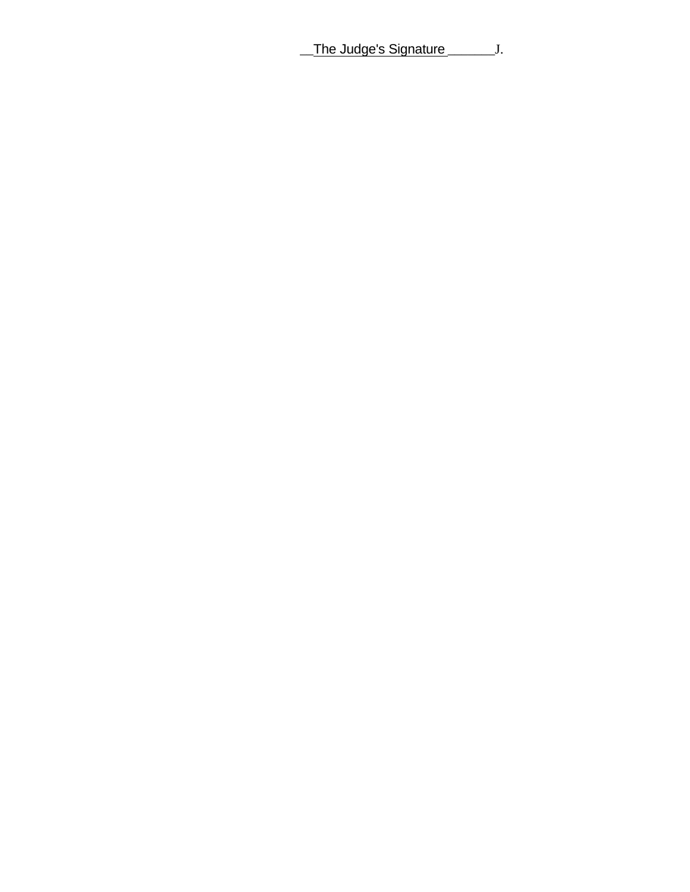The Judge's Signature \_\_\_\_\_\_\_\_\_J.